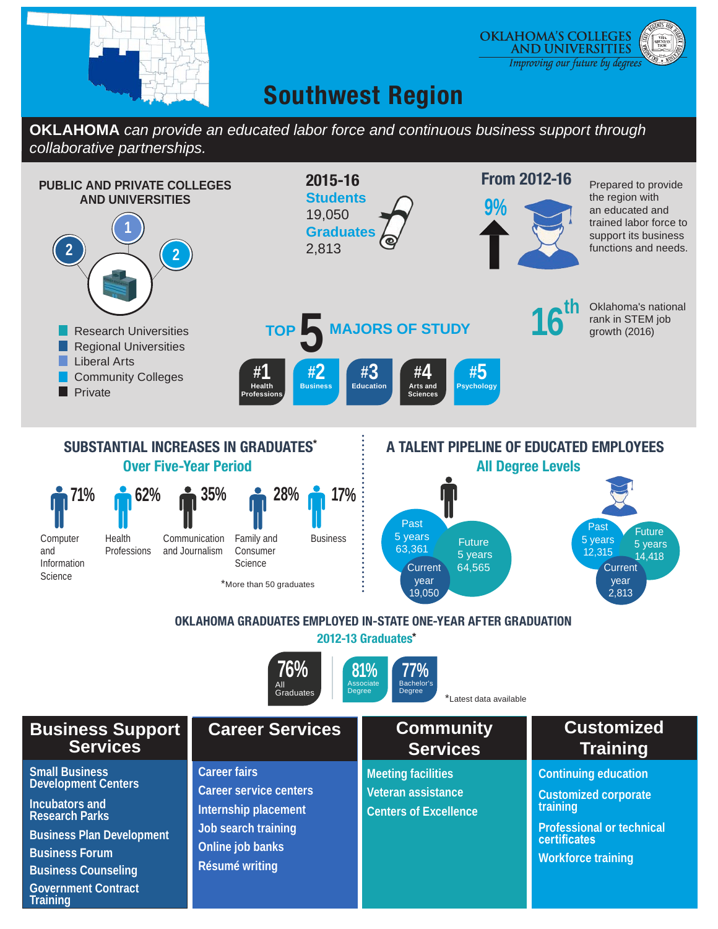

**Government Contract** 

**Training**

#### **OKLAHOMA'S COLLEGES AND UNIVERSITIES** Improving our future by degrees

# **Southwest Region**

**OKLAHOMA** *can provide an educated labor force and continuous business support through collaborative partnerships.*